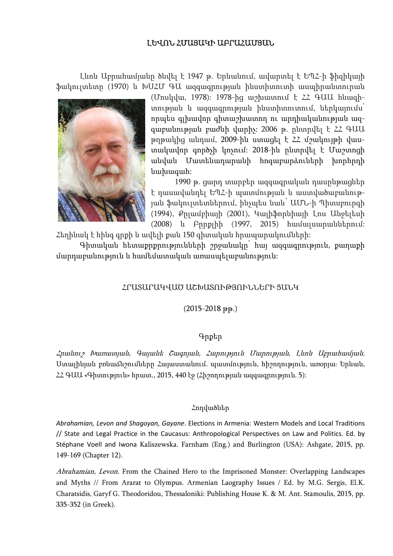# ԼԵՎՈՆ ՀՄԱՅԱԿԻ ԱԲՐԱՀԱՄՅԱՆ

Լևոն Աբրահամյանը ծնվել է 1947 թ. Երևանում, ավարտել է ԵՊՀ-ի ֆիզիկայի ֆակուլտետը (1970) և ԽՍՀՄ ԳԱ ազգագրության ինստիտուտի ասպիրանտուրան



(Մոսկվա, 1978): 1978-ից աշխատում է ՀՀ ԳԱԱ հնագիտության և ազգագրության ինստիտուտում, ներկայումս՝ որպես գլխավոր գիտաշխատող ու արդիականության ազգաբանության բաժնի վարիչ: 2006 թ. ընտրվել է ՀՀ ԳԱԱ թղթակից անդամ, 2009-ին ստացել է ՀՀ մշակույթի վաստակավոր գործչի կոչում: 2018-ին ընտրվել է Մաշտոցի անվան Մատենադարանի հոգաբարձուների խորհրդի նախագահ:

1990 թ. ցարդ տարբեր ազգագրական դասընթացներ է դասավանդել ԵՊՀ-ի պատմության և աստվածաբանության ֆակուլտետներում, ինչպես նաև՝ ԱՄՆ-ի Պիտսբուրգի (1994), Քըլամբիայի (2001), Կալիֆորնիայի Լոս Անջելեսի (2008) և Բըրքլիի (1997, 2015) համալսարաններում:

Հեղինակ է հինգ գրքի և ավելի քան 150 գիտական հրապարակումների:

Գիտական հետաքրքրությունների շրջանակը՝ հայ ազգագրություն, քաղաքի մարդաբանություն և համեմատական առասպելաբանություն:

# ՀՐԱՏԱՐԱԿՎԱԾ ԱՇԽԱՏՈՒԹՅՈՒՆՆԵՐԻ ՑԱՆԿ

(2015-2018 թթ.)

## Գրքեր

Հրանուշ Խառատյան, Գայանե Շագոյան, Հարություն Մարության, Լևոն Աբրահամյան. Ստալինյան բռնաճնշումները Հայաստանում. պատմություն, հիշողություն, առօրյա։ Երևան, ՀՀ ԳԱԱ «Գիտություն» հրատ., 2015, 440 էջ (Հիշողության ազգագրություն. 5):

### Հոդվածներ

*Abrahamian, Levon and Shagoyan, Gayane*. Elections in Armenia: Western Models and Local Traditions // State and Legal Practice in the Caucasus: Anthropological Perspectives on Law and Politics. Ed. by Stéphane Voell and Iwona Kaliszewska. Farnham (Eng.) and Burlington (USA): Ashgate, 2015, pp. 149-169 (Chapter 12).

Abrahamian, Levon. From the Chained Hero to the Imprisoned Monster: Overlapping Landscapes and Myths // From Ararat to Olympus. Armenian Laography Issues / Ed. by M.G. Sergis, El.K. Charatsidis, Garyf G. Theodoridou, Thessaloniki: Publishing House K. & M. Ant. Stamoulis, 2015, pp. 335-352 (in Greek).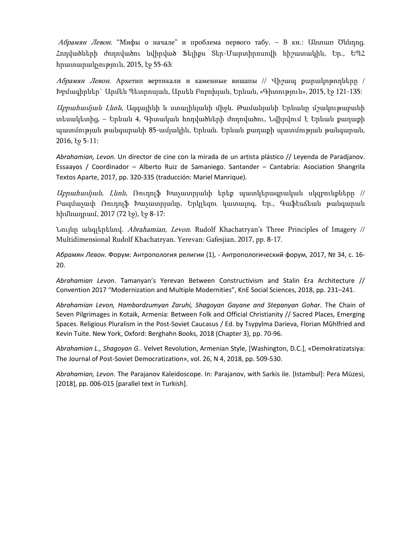Абрамян Левон. "Мифы о начале" и проблема первого табу. – В кн.: Անտառ Ծննդոց. Հոդվածների ժողովածու նվիրված Ֆելիքս Տեր-Մարտիրոսովի հիշատակին, Եր., ԵՊՀ հրատարակչություն, 2015, էջ 55-63:

Абрамян Левон. Архетип вертикали и каменные вишапы // Վիշապ քարակոթողները / Խբմագիրներ` Արմեն Պետրոսյան, Արսեն Բոբոխյան, Երևան, «Գիտություն», 2015, էջ 121-135:

Աբրահամյան Լևոն, Ազգայինի և ստալինյանի միջև. Թամանյանի Երևանը մշակութաբանի տեսակետից, – Երևան 4, Գիտական հոդվածների ժողովածու, Նվիրվում է Երևան քաղաքի պատմության թանգարանի 85-ամյակին, Երևան. Երևան քաղաքի պատմության թանգարան, 2016, էջ 5-11:

*Abrahamian, Levon*. Un director de cine con la mirada de un artista plástico // Leyenda de Paradjanov. Essaayos / Coordinador – Alberto Ruiz de Samaniego. Santander – Cantabria: Asociation Shangrila Textos Aparte, 2017, pp. 320-335 (traducción: Mariel Manrique).

 $U$ բրա*համյան, Լևոն*, Ռուդոլֆ Խաչատրյանի երեք պատկերագրական սկզբունքները // Բազմաչափ Ռուդոլֆ Խաչատրյանը, Երկլեզու կատալոգ, Եր., Գաֆէսճեան թանգարան հիմնադրամ, 2017 (72 էջ), էջ 8-17:

Նույնը անգլերենով. Abrahamian, Levon. Rudolf Khachatryan's Three Principles of Imagery // Multidimensional Rudolf Khachatryan. Yerevan: Gafesjian, 2017, pp. 8-17.

*Абрамян Левон*. Форум: Антропология религии (1), - Антропологический форум, 2017, № 34, с. 16- 20.

*Abrahamian Levon*. Tamanyan's Yerevan Between Constructivism and Stalin Era Architecture // Convention 2017 "Modernization and Multiple Modernities", KnE Social Sciences, 2018, pp. 231–241.

*Abrahamian Levon, Hambardzumyan Zaruhi, Shagoyan Gayane and Stepanyan Gohar*. The Chain of Seven Pilgrimages in Kotaik, Armenia: Between Folk and Official Christianity // Sacred Places, Emerging Spaces. Religious Pluralism in the Post-Soviet Caucasus / Ed. by Tsypylma Darieva, Florian Mȕhlfried and Kevin Tuite. New York, Oxford: Berghahn Books, 2018 (Chapter 3), pp. 70-96.

*Abrahamian L., Shagoyan G.*. Velvet Revolution, Armenian Style, [Washington, D.C.], «Demokratizatsiya: The Journal of Post-Soviet Democratization», vol. 26, N 4, 2018, pp. 509-530.

*Abrahamian, Levon.* The Parajanov Kaleidoscope. In: Parajanov, with Sarkis ile. [Istambul]: Pera Müzesi, [2018], pp. 006-015 [parallel text in Turkish].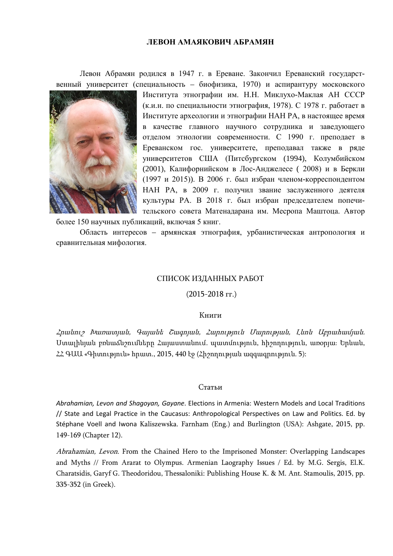#### **ЛЕВОН АМАЯКОВИЧ АБРАМЯН**

Левон Абрамян родился в 1947 г. в Ереване. Закончил Ереванский государственный университет (специальность – биофизика, 1970) и аспирантуру московского



Института этнографии им. Н.Н. Миклухо-Маклая АН СССР (к.и.н. по специальности этнография, 1978). С 1978 г. работает в Институте археологии и этнографии НАН РА, в настоящее время в качестве главного научного сотрудника и заведующего отделом этнологии современности. С 1990 г. преподает в Ереванском гос. университете, преподавал также в ряде университетов США (Питсбургском (1994), Колумбийском (2001), Калифорнийском в Лос-Анджелесе ( 2008) и в Беркли (1997 и 2015)). В 2006 г. был избран членом-корреспондентом НАН РА, в 2009 г. получил звание заслуженного деятеля культуры РА. В 2018 г. был избран председателем попечительского совета Матенадарана им. Месропа Маштоца. Автор

более 150 научных публикаций, включая 5 книг.

Область интересов – армянская этнография, урбанистическая антропология и сравнительная мифология.

### СПИСОК ИЗДАННЫХ РАБОТ

#### (2015-2018 гг.)

#### Книги

Հրանուշ Խառատյան, Գայանե Շագոյան, Հարություն Մարության, Լևոն Աբրահամյան. Ստալինյան բռնաճնշումները Հայաստանում. պատմություն, հիշողություն, առօրյա։ Երևան, ՀՀ ԳԱԱ «Գիտություն» հրատ., 2015, 440 էջ (Հիշողության ազգագրություն. 5):

#### Статьи

*Abrahamian, Levon and Shagoyan, Gayane*. Elections in Armenia: Western Models and Local Traditions // State and Legal Practice in the Caucasus: Anthropological Perspectives on Law and Politics. Ed. by Stéphane Voell and Iwona Kaliszewska. Farnham (Eng.) and Burlington (USA): Ashgate, 2015, pp. 149-169 (Chapter 12).

Abrahamian, Levon. From the Chained Hero to the Imprisoned Monster: Overlapping Landscapes and Myths // From Ararat to Olympus. Armenian Laography Issues / Ed. by M.G. Sergis, El.K. Charatsidis, Garyf G. Theodoridou, Thessaloniki: Publishing House K. & M. Ant. Stamoulis, 2015, pp. 335-352 (in Greek).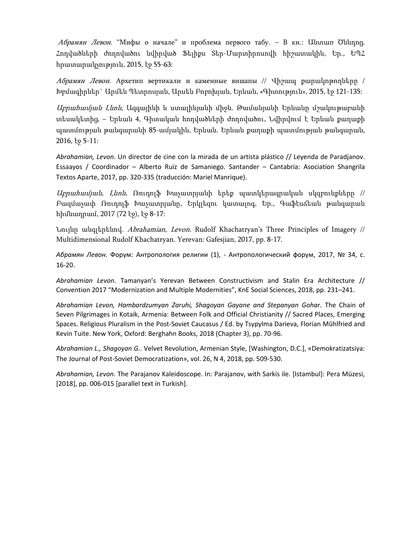Абрамян Левон. "Мифы о начале" и проблема первого табу. – В кн.: Անտառ Ծննդոց. Հոդվածների ժողովածու նվիրված Ֆելիքս Տեր-Մարտիրոսովի հիշատակին, Եր., ԵՊՀ հրատարակչություն, 2015, էջ 55-63:

Абрамян Левон. Архетип вертикали и каменные вишапы // Վիշապ քարակոթողները / Խբմագիրներ` Արմեն Պետրոսյան, Արսեն Բոբոխյան, Երևան, «Գիտություն», 2015, էջ 121-135:

Աբրահամյան Լևոն, Ազգայինի և ստալինյանի միջև. Թամանյանի Երևանը մշակութաբանի տեսակետից, – Երևան 4, Գիտական հոդվածների ժողովածու, Նվիրվում է Երևան քաղաքի պատմության թանգարանի 85-ամյակին, Երևան. Երևան քաղաքի պատմության թանգարան, 2016, էջ 5-11:

*Abrahamian, Levon*. Un director de cine con la mirada de un artista plástico // Leyenda de Paradjanov. Essaayos / Coordinador – Alberto Ruiz de Samaniego. Santander – Cantabria: Asociation Shangrila Textos Aparte, 2017, pp. 320-335 (traducción: Mariel Manrique).

 $U$ բրա*համյան, Լևոն*, Ռուդոլֆ Խաչատրյանի երեք պատկերագրական սկզբունքները // Բազմաչափ Ռուդոլֆ Խաչատրյանը, Երկլեզու կատալոգ, Եր., Գաֆէսճեան թանգարան հիմնադրամ, 2017 (72 էջ), էջ 8-17:

Նույնը անգլերենով. Abrahamian, Levon. Rudolf Khachatryan's Three Principles of Imagery // Multidimensional Rudolf Khachatryan. Yerevan: Gafesjian, 2017, pp. 8-17.

*Абрамян Левон*. Форум: Антропология религии (1), - Антропологический форум, 2017, № 34, с. 16-20.

*Abrahamian Levon*. Tamanyan's Yerevan Between Constructivism and Stalin Era Architecture // Convention 2017 "Modernization and Multiple Modernities", KnE Social Sciences, 2018, pp. 231–241.

*Abrahamian Levon, Hambardzumyan Zaruhi, Shagoyan Gayane and Stepanyan Gohar*. The Chain of Seven Pilgrimages in Kotaik, Armenia: Between Folk and Official Christianity // Sacred Places, Emerging Spaces. Religious Pluralism in the Post-Soviet Caucasus / Ed. by Tsypylma Darieva, Florian Mȕhlfried and Kevin Tuite. New York, Oxford: Berghahn Books, 2018 (Chapter 3), pp. 70-96.

*Abrahamian L., Shagoyan G.*. Velvet Revolution, Armenian Style, [Washington, D.C.], «Demokratizatsiya: The Journal of Post-Soviet Democratization», vol. 26, N 4, 2018, pp. 509-530.

*Abrahamian, Levon.* The Parajanov Kaleidoscope. In: Parajanov, with Sarkis ile. [Istambul]: Pera Müzesi, [2018], pp. 006-015 [parallel text in Turkish].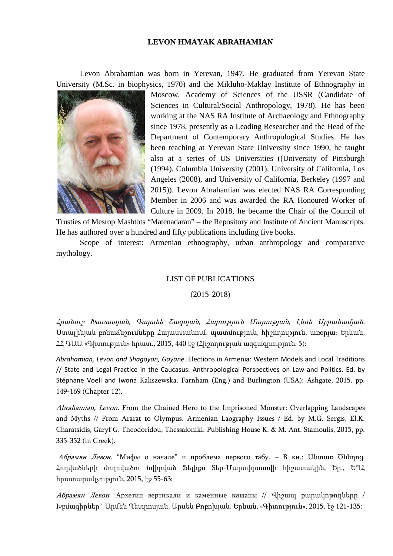### **LEVON HMAYAK ABRAHAMIAN**

Levon Abrahamian was born in Yerevan, 1947. He graduated from Yerevan State University (M.Sc. in biophysics, 1970) and the Mikluho-Maklay Institute of Ethnography in



Moscow, Academy of Sciences of the USSR (Candidate of Sciences in Cultural/Social Anthropology, 1978). He has been working at the NAS RA Institute of Archaeology and Ethnography since 1978, presently as a Leading Researcher and the Head of the Department of Contemporary Anthropological Studies. He has been teaching at Yerevan State University since 1990, he taught also at a series of US Universities ((University of Pittsburgh (1994), Columbia University (2001), University of California, Los Angeles (2008), and University of California, Berkeley (1997 and 2015)). Levon Abrahamian was elected NAS RA Corresponding Member in 2006 and was awarded the RA Honoured Worker of Culture in 2009. In 2018, he became the Chair of the Council of

Trusties of Mesrop Mashtots "Matenadaran" – the Repository and Institute of Ancient Manuscripts. He has authored over a hundred and fifty publications including five books.

Scope of interest: Armenian ethnography, urban anthropology and comparative mythology.

### LIST OF PUBLICATIONS

### (2015-2018)

Հրանուշ Խառատյան, Գայանե Շագոյան, Հարություն Մարության, Լևոն Աբրահամյան. Ստալինյան բռնաճնշումները Հայաստանում. պատմություն, հիշողություն, առօրյա։ Երևան, ՀՀ ԳԱԱ «Գիտություն» հրատ., 2015, 440 էջ (Հիշողության ազգագրություն. 5):

*Abrahamian, Levon and Shagoyan, Gayane*. Elections in Armenia: Western Models and Local Traditions // State and Legal Practice in the Caucasus: Anthropological Perspectives on Law and Politics. Ed. by Stéphane Voell and Iwona Kaliszewska. Farnham (Eng.) and Burlington (USA): Ashgate, 2015, pp. 149-169 (Chapter 12).

Abrahamian, Levon. From the Chained Hero to the Imprisoned Monster: Overlapping Landscapes and Myths // From Ararat to Olympus. Armenian Laography Issues / Ed. by M.G. Sergis, El.K. Charatsidis, Garyf G. Theodoridou, Thessaloniki: Publishing House K. & M. Ant. Stamoulis, 2015, pp. 335-352 (in Greek).

Абрамян Левон. "Мифы о начале" и проблема первого табу. – В кн.: Անտառ Ծննդոց. Հոդվածների ժողովածու նվիրված Ֆելիքս Տեր-Մարտիրոսովի հիշատակին, Եր., ԵՊՀ հրատարակչություն, 2015, էջ 55-63:

Абрамян Левон. Архетип вертикали и каменные вишапы // Վիշապ քարակոթողները / Խբմագիրներ` Արմեն Պետրոսյան, Արսեն Բոբոխյան, Երևան, «Գիտություն», 2015, էջ 121-135: